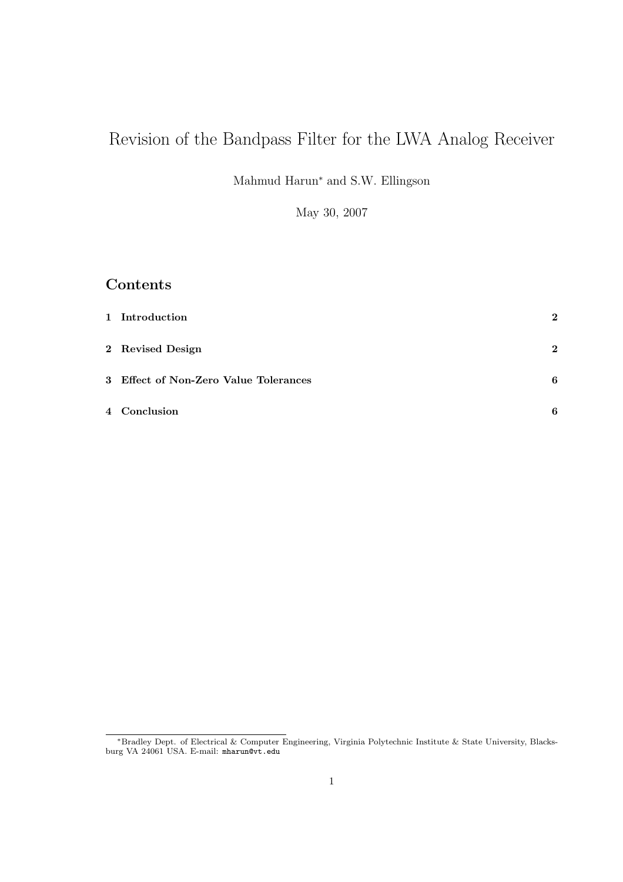# Revision of the Bandpass Filter for the LWA Analog Receiver

Mahmud Harun<sup>∗</sup> and S.W. Ellingson

May 30, 2007

## Contents

| 1 Introduction                        | $\mathbf{2}$ |
|---------------------------------------|--------------|
| 2 Revised Design                      | $\mathbf{2}$ |
| 3 Effect of Non-Zero Value Tolerances | 6            |
| 4 Conclusion                          | 6            |

<sup>∗</sup>Bradley Dept. of Electrical & Computer Engineering, Virginia Polytechnic Institute & State University, Blacksburg VA 24061 USA. E-mail: mharun@vt.edu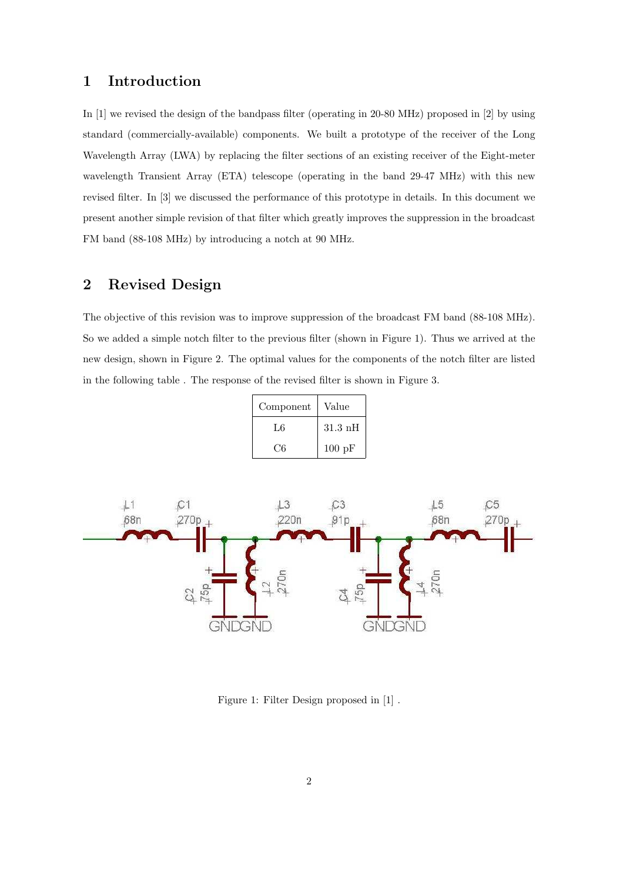#### 1 Introduction

In [1] we revised the design of the bandpass filter (operating in 20-80 MHz) proposed in [2] by using standard (commercially-available) components. We built a prototype of the receiver of the Long Wavelength Array (LWA) by replacing the filter sections of an existing receiver of the Eight-meter wavelength Transient Array (ETA) telescope (operating in the band 29-47 MHz) with this new revised filter. In [3] we discussed the performance of this prototype in details. In this document we present another simple revision of that filter which greatly improves the suppression in the broadcast FM band (88-108 MHz) by introducing a notch at 90 MHz.

#### 2 Revised Design

The objective of this revision was to improve suppression of the broadcast FM band (88-108 MHz). So we added a simple notch filter to the previous filter (shown in Figure 1). Thus we arrived at the new design, shown in Figure 2. The optimal values for the components of the notch filter are listed in the following table . The response of the revised filter is shown in Figure 3.

| Component | Value             |
|-----------|-------------------|
| L6        | $31.3 \text{ nH}$ |
| C6        | $100 \text{ pF}$  |



Figure 1: Filter Design proposed in [1] .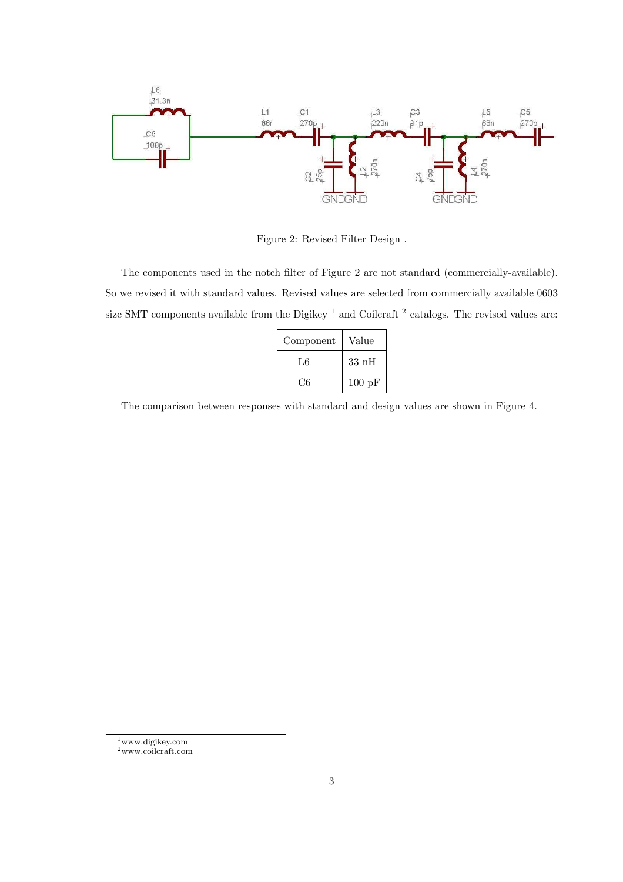

Figure 2: Revised Filter Design .

The components used in the notch filter of Figure 2 are not standard (commercially-available). So we revised it with standard values. Revised values are selected from commercially available 0603 size SMT components available from the Digikey<sup>1</sup> and Coilcraft<sup>2</sup> catalogs. The revised values are:

| Component | Value            |
|-----------|------------------|
| L6        | $33\;$ nH        |
| ( '6      | $100 \text{ pF}$ |

The comparison between responses with standard and design values are shown in Figure 4.

<sup>1</sup>www.digikey.com

<sup>2</sup>www.coilcraft.com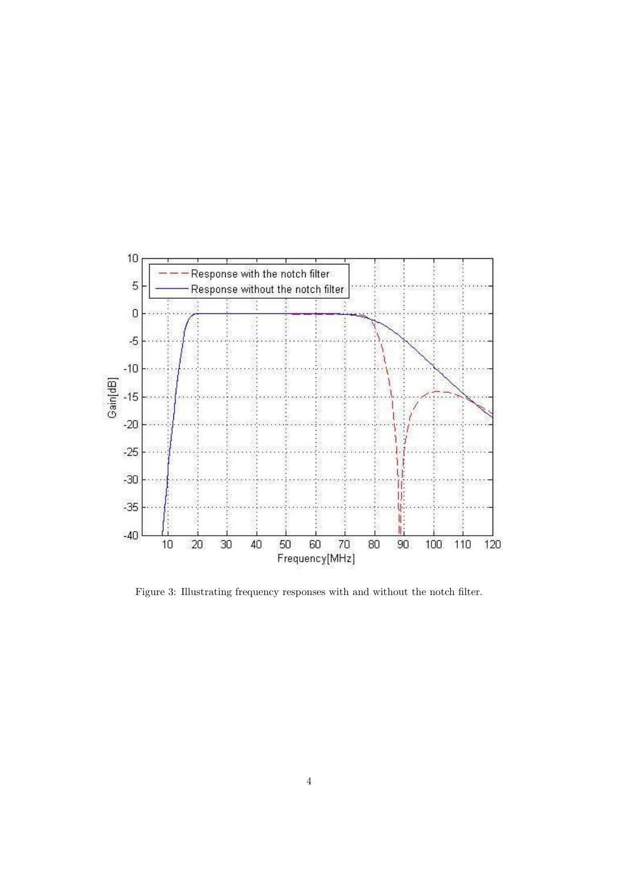

Figure 3: Illustrating frequency responses with and without the notch filter.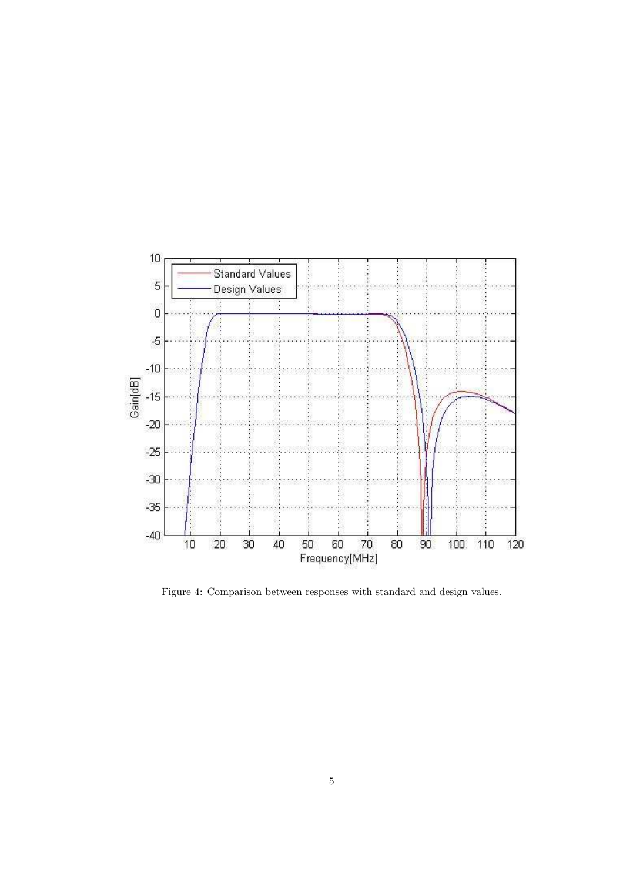

Figure 4: Comparison between responses with standard and design values.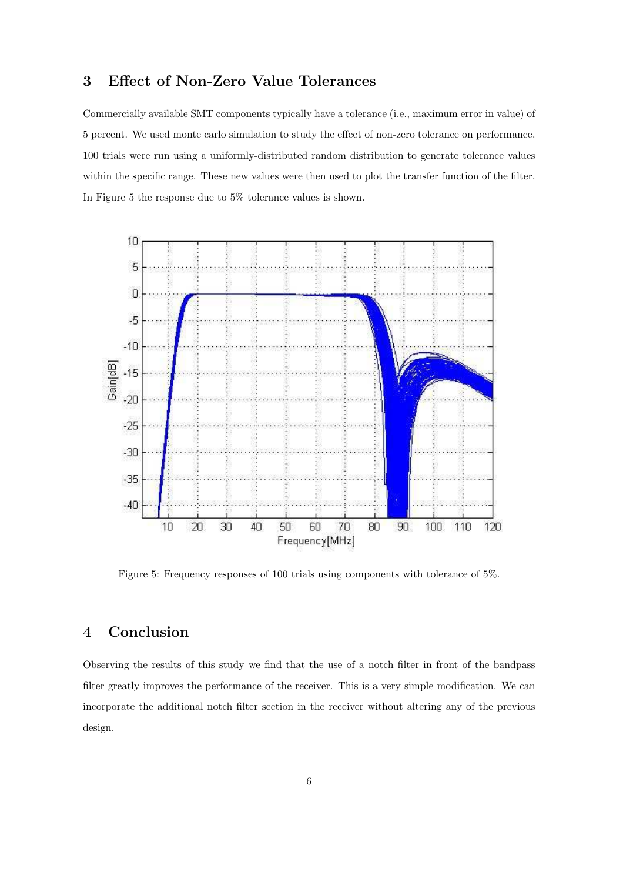### 3 Effect of Non-Zero Value Tolerances

Commercially available SMT components typically have a tolerance (i.e., maximum error in value) of 5 percent. We used monte carlo simulation to study the effect of non-zero tolerance on performance. 100 trials were run using a uniformly-distributed random distribution to generate tolerance values within the specific range. These new values were then used to plot the transfer function of the filter. In Figure 5 the response due to 5% tolerance values is shown.



Figure 5: Frequency responses of 100 trials using components with tolerance of 5%.

## 4 Conclusion

Observing the results of this study we find that the use of a notch filter in front of the bandpass filter greatly improves the performance of the receiver. This is a very simple modification. We can incorporate the additional notch filter section in the receiver without altering any of the previous design.